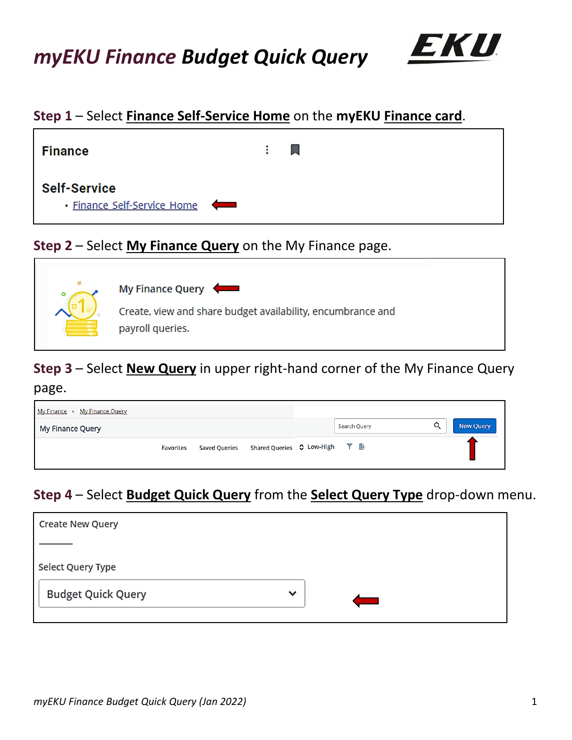

## **Step 1** – Select **Finance Self-Service Home** on the **myEKU Finance card**.



### **Step 2** – Select **My Finance Query** on the My Finance page.



# **Step 3** – Select **New Query** in upper right-hand corner of the My Finance Query

page.

| My Finance • My Finance Query |                  |                      |                                             |              |   |           |
|-------------------------------|------------------|----------------------|---------------------------------------------|--------------|---|-----------|
| My Finance Query              |                  |                      |                                             | Search Query | Q | New Query |
|                               | <b>Favorites</b> | <b>Saved Queries</b> | Shared Queries $\Diamond$ Low-High $\top$ a |              |   |           |

# **Step 4** – Select **Budget Quick Query** from the **Select Query Type** drop-down menu.

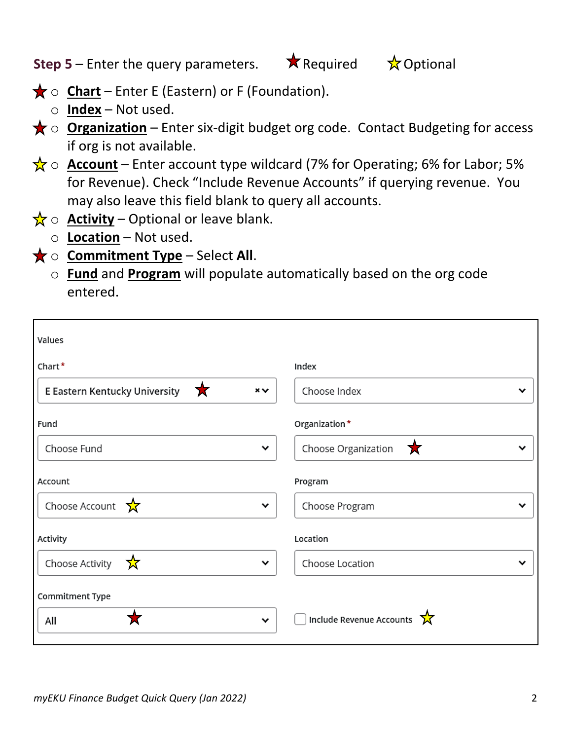**Step 5** – Enter the query parameters.  $\star$  Required  $\star$  Optional

- $\bigstar$  o **Chart** Enter E (Eastern) or F (Foundation).
	- o **Index** Not used.
- **★ o Organization** Enter six-digit budget org code. Contact Budgeting for access if org is not available.
- $\frac{1}{N}$   $\circ$  **Account** Enter account type wildcard (7% for Operating; 6% for Labor; 5% for Revenue). Check "Include Revenue Accounts" if querying revenue. You may also leave this field blank to query all accounts.
- $\frac{1}{X}$   $\circ$  **Activity** Optional or leave blank.
	- o **Location** Not used.
- **★ o Commitment Type** Select All.
	- o **Fund** and **Program** will populate automatically based on the org code entered.

| Values                                          |                               |
|-------------------------------------------------|-------------------------------|
| Chart*                                          | Index                         |
| E Eastern Kentucky University<br>一文<br>$\times$ | Choose Index                  |
| Fund                                            | Organization*                 |
| Choose Fund<br>$\check{ }$                      | Choose Organization<br>人<br>v |
| Account                                         | Program                       |
| Choose Account<br>☆<br>丷                        | Choose Program                |
| Activity                                        | Location                      |
| Choose Activity<br>☆<br>$\check{ }$             | Choose Location               |
| Commitment Type                                 |                               |
| All<br>$\check{ }$                              | Include Revenue Accounts      |